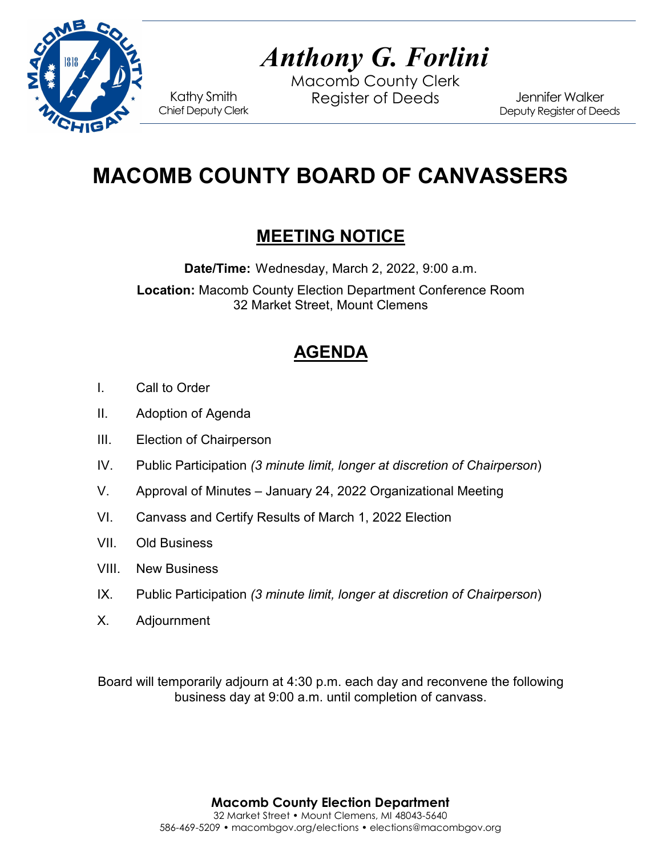

# *Anthony G. Forlini*

Macomb County Clerk Kathy Smith Register of Deeds<br>Chief Deputy Clerk

Jennifer Walker Deputy Register of Deeds

## **MACOMB COUNTY BOARD OF CANVASSERS**

### **MEETING NOTICE**

**Date/Time:** Wednesday, March 2, 2022, 9:00 a.m.

**Location:** Macomb County Election Department Conference Room 32 Market Street, Mount Clemens

## **AGENDA**

- I. Call to Order
- II. Adoption of Agenda
- III. Election of Chairperson
- IV. Public Participation *(3 minute limit, longer at discretion of Chairperson*)
- V. Approval of Minutes January 24, 2022 Organizational Meeting
- VI. Canvass and Certify Results of March 1, 2022 Election
- VII. Old Business
- VIII. New Business
- IX. Public Participation *(3 minute limit, longer at discretion of Chairperson*)
- X. Adjournment

Board will temporarily adjourn at 4:30 p.m. each day and reconvene the following business day at 9:00 a.m. until completion of canvass.